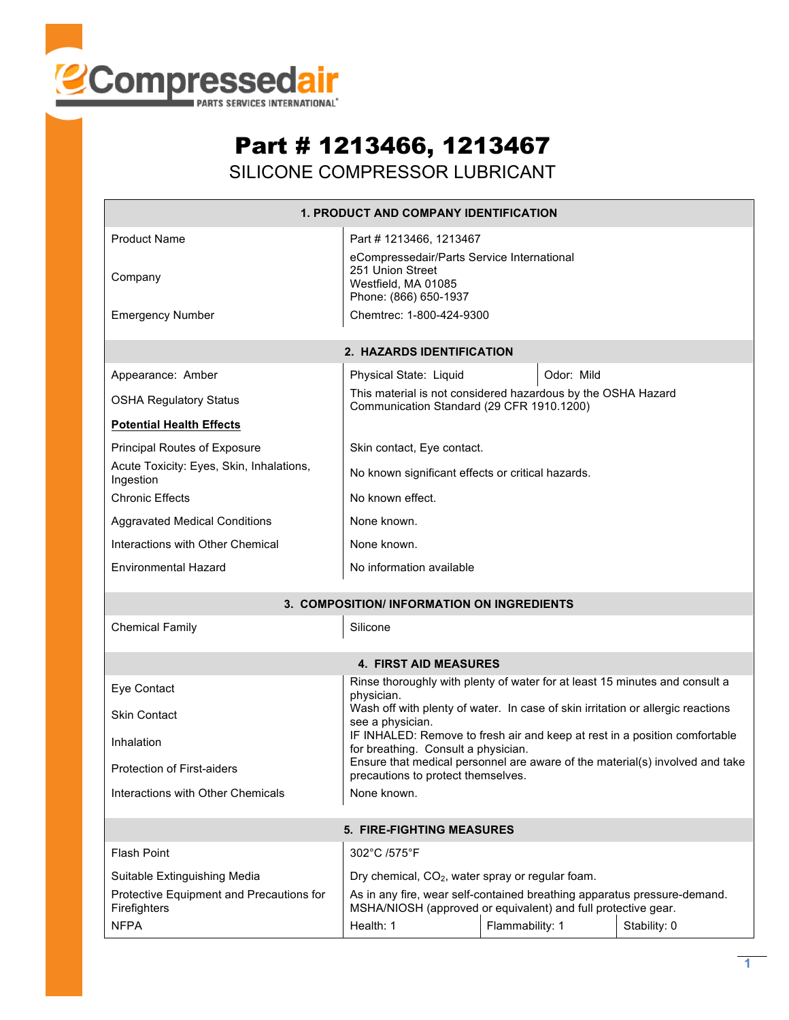

## Part # 1213466, 1213467

SILICONE COMPRESSOR LUBRICANT

| <b>1. PRODUCT AND COMPANY IDENTIFICATION</b>                             |                                                                                                                                           |  |  |  |  |  |  |
|--------------------------------------------------------------------------|-------------------------------------------------------------------------------------------------------------------------------------------|--|--|--|--|--|--|
| <b>Product Name</b><br>Company                                           | Part #1213466, 1213467<br>eCompressedair/Parts Service International<br>251 Union Street<br>Westfield, MA 01085<br>Phone: (866) 650-1937  |  |  |  |  |  |  |
| <b>Emergency Number</b>                                                  | Chemtrec: 1-800-424-9300                                                                                                                  |  |  |  |  |  |  |
| 2. HAZARDS IDENTIFICATION                                                |                                                                                                                                           |  |  |  |  |  |  |
| Appearance: Amber                                                        | Physical State: Liquid<br>Odor: Mild                                                                                                      |  |  |  |  |  |  |
| <b>OSHA Regulatory Status</b>                                            | This material is not considered hazardous by the OSHA Hazard<br>Communication Standard (29 CFR 1910.1200)                                 |  |  |  |  |  |  |
| <b>Potential Health Effects</b>                                          |                                                                                                                                           |  |  |  |  |  |  |
| Principal Routes of Exposure<br>Acute Toxicity: Eyes, Skin, Inhalations, | Skin contact, Eye contact.                                                                                                                |  |  |  |  |  |  |
| Ingestion                                                                | No known significant effects or critical hazards.                                                                                         |  |  |  |  |  |  |
| <b>Chronic Effects</b>                                                   | No known effect.                                                                                                                          |  |  |  |  |  |  |
| <b>Aggravated Medical Conditions</b>                                     | None known.                                                                                                                               |  |  |  |  |  |  |
| Interactions with Other Chemical                                         | None known.                                                                                                                               |  |  |  |  |  |  |
| <b>Environmental Hazard</b>                                              | No information available                                                                                                                  |  |  |  |  |  |  |
| 3. COMPOSITION/ INFORMATION ON INGREDIENTS                               |                                                                                                                                           |  |  |  |  |  |  |
| <b>Chemical Family</b><br>Silicone                                       |                                                                                                                                           |  |  |  |  |  |  |
| <b>4. FIRST AID MEASURES</b>                                             |                                                                                                                                           |  |  |  |  |  |  |
| Eye Contact                                                              | Rinse thoroughly with plenty of water for at least 15 minutes and consult a<br>physician.                                                 |  |  |  |  |  |  |
| <b>Skin Contact</b>                                                      | Wash off with plenty of water. In case of skin irritation or allergic reactions<br>see a physician.                                       |  |  |  |  |  |  |
| Inhalation                                                               | IF INHALED: Remove to fresh air and keep at rest in a position comfortable<br>for breathing. Consult a physician.                         |  |  |  |  |  |  |
| <b>Protection of First-aiders</b>                                        | Ensure that medical personnel are aware of the material(s) involved and take<br>precautions to protect themselves.                        |  |  |  |  |  |  |
| Interactions with Other Chemicals                                        | None known.                                                                                                                               |  |  |  |  |  |  |
| 5. FIRE-FIGHTING MEASURES                                                |                                                                                                                                           |  |  |  |  |  |  |
| Flash Point                                                              | 302°C /575°F                                                                                                                              |  |  |  |  |  |  |
| Suitable Extinguishing Media                                             | Dry chemical, CO <sub>2</sub> , water spray or regular foam.                                                                              |  |  |  |  |  |  |
| Protective Equipment and Precautions for<br>Firefighters                 | As in any fire, wear self-contained breathing apparatus pressure-demand.<br>MSHA/NIOSH (approved or equivalent) and full protective gear. |  |  |  |  |  |  |
| <b>NFPA</b>                                                              | Health: 1<br>Flammability: 1<br>Stability: 0                                                                                              |  |  |  |  |  |  |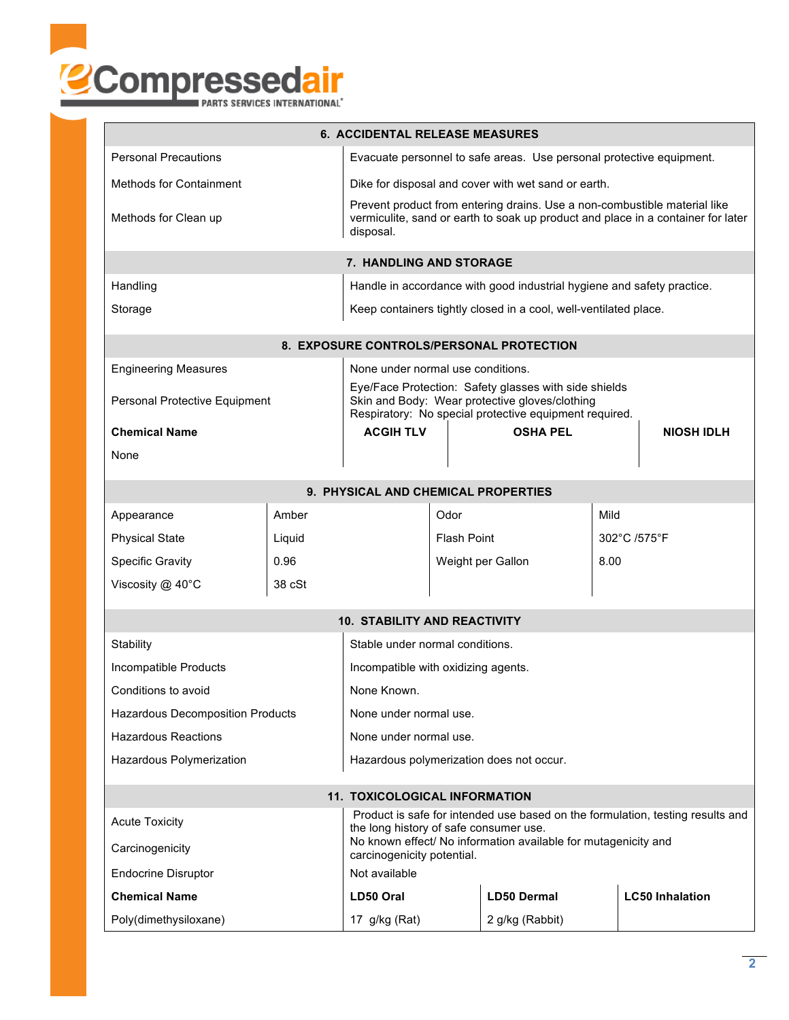

|                                                                                                         |                                                                                                                                                                            | <b>6. ACCIDENTAL RELEASE MEASURES</b>               |                    |                 |                        |                   |  |  |
|---------------------------------------------------------------------------------------------------------|----------------------------------------------------------------------------------------------------------------------------------------------------------------------------|-----------------------------------------------------|--------------------|-----------------|------------------------|-------------------|--|--|
| <b>Personal Precautions</b><br>Evacuate personnel to safe areas. Use personal protective equipment.     |                                                                                                                                                                            |                                                     |                    |                 |                        |                   |  |  |
| <b>Methods for Containment</b>                                                                          |                                                                                                                                                                            | Dike for disposal and cover with wet sand or earth. |                    |                 |                        |                   |  |  |
| Methods for Clean up                                                                                    | Prevent product from entering drains. Use a non-combustible material like<br>vermiculite, sand or earth to soak up product and place in a container for later<br>disposal. |                                                     |                    |                 |                        |                   |  |  |
| 7. HANDLING AND STORAGE                                                                                 |                                                                                                                                                                            |                                                     |                    |                 |                        |                   |  |  |
| Handling                                                                                                | Handle in accordance with good industrial hygiene and safety practice.                                                                                                     |                                                     |                    |                 |                        |                   |  |  |
| Keep containers tightly closed in a cool, well-ventilated place.<br>Storage                             |                                                                                                                                                                            |                                                     |                    |                 |                        |                   |  |  |
| 8. EXPOSURE CONTROLS/PERSONAL PROTECTION                                                                |                                                                                                                                                                            |                                                     |                    |                 |                        |                   |  |  |
| <b>Engineering Measures</b>                                                                             |                                                                                                                                                                            | None under normal use conditions.                   |                    |                 |                        |                   |  |  |
| Personal Protective Equipment                                                                           | Eye/Face Protection: Safety glasses with side shields<br>Skin and Body: Wear protective gloves/clothing<br>Respiratory: No special protective equipment required.          |                                                     |                    |                 |                        |                   |  |  |
| <b>Chemical Name</b>                                                                                    |                                                                                                                                                                            |                                                     |                    | <b>OSHA PEL</b> |                        | <b>NIOSH IDLH</b> |  |  |
| None                                                                                                    |                                                                                                                                                                            |                                                     |                    |                 |                        |                   |  |  |
| 9. PHYSICAL AND CHEMICAL PROPERTIES                                                                     |                                                                                                                                                                            |                                                     |                    |                 |                        |                   |  |  |
| Appearance                                                                                              | Mild<br>Odor<br>Amber                                                                                                                                                      |                                                     |                    |                 |                        |                   |  |  |
| <b>Physical State</b>                                                                                   | Liquid                                                                                                                                                                     |                                                     | <b>Flash Point</b> |                 | 302°C /575°F           |                   |  |  |
| <b>Specific Gravity</b>                                                                                 | 0.96                                                                                                                                                                       |                                                     | Weight per Gallon  |                 |                        | 8.00              |  |  |
| Viscosity @ 40°C                                                                                        | 38 cSt                                                                                                                                                                     |                                                     |                    |                 |                        |                   |  |  |
|                                                                                                         |                                                                                                                                                                            |                                                     |                    |                 |                        |                   |  |  |
| <b>10. STABILITY AND REACTIVITY</b>                                                                     |                                                                                                                                                                            |                                                     |                    |                 |                        |                   |  |  |
| Stability                                                                                               | Stable under normal conditions.                                                                                                                                            |                                                     |                    |                 |                        |                   |  |  |
| Incompatible Products                                                                                   | Incompatible with oxidizing agents.                                                                                                                                        |                                                     |                    |                 |                        |                   |  |  |
| Conditions to avoid                                                                                     | None Known.                                                                                                                                                                |                                                     |                    |                 |                        |                   |  |  |
| <b>Hazardous Decomposition Products</b>                                                                 | None under normal use.                                                                                                                                                     |                                                     |                    |                 |                        |                   |  |  |
| <b>Hazardous Reactions</b>                                                                              | None under normal use.                                                                                                                                                     |                                                     |                    |                 |                        |                   |  |  |
| Hazardous Polymerization                                                                                | Hazardous polymerization does not occur.                                                                                                                                   |                                                     |                    |                 |                        |                   |  |  |
| <b>11. TOXICOLOGICAL INFORMATION</b>                                                                    |                                                                                                                                                                            |                                                     |                    |                 |                        |                   |  |  |
| Product is safe for intended use based on the formulation, testing results and<br><b>Acute Toxicity</b> |                                                                                                                                                                            |                                                     |                    |                 |                        |                   |  |  |
| Carcinogenicity                                                                                         | the long history of safe consumer use.<br>No known effect/ No information available for mutagenicity and<br>carcinogenicity potential.                                     |                                                     |                    |                 |                        |                   |  |  |
| <b>Endocrine Disruptor</b>                                                                              | Not available                                                                                                                                                              |                                                     |                    |                 |                        |                   |  |  |
| <b>Chemical Name</b>                                                                                    | LD50 Oral                                                                                                                                                                  |                                                     | <b>LD50 Dermal</b> |                 | <b>LC50 Inhalation</b> |                   |  |  |
| Poly(dimethysiloxane)                                                                                   | 17 g/kg (Rat)                                                                                                                                                              |                                                     | 2 g/kg (Rabbit)    |                 |                        |                   |  |  |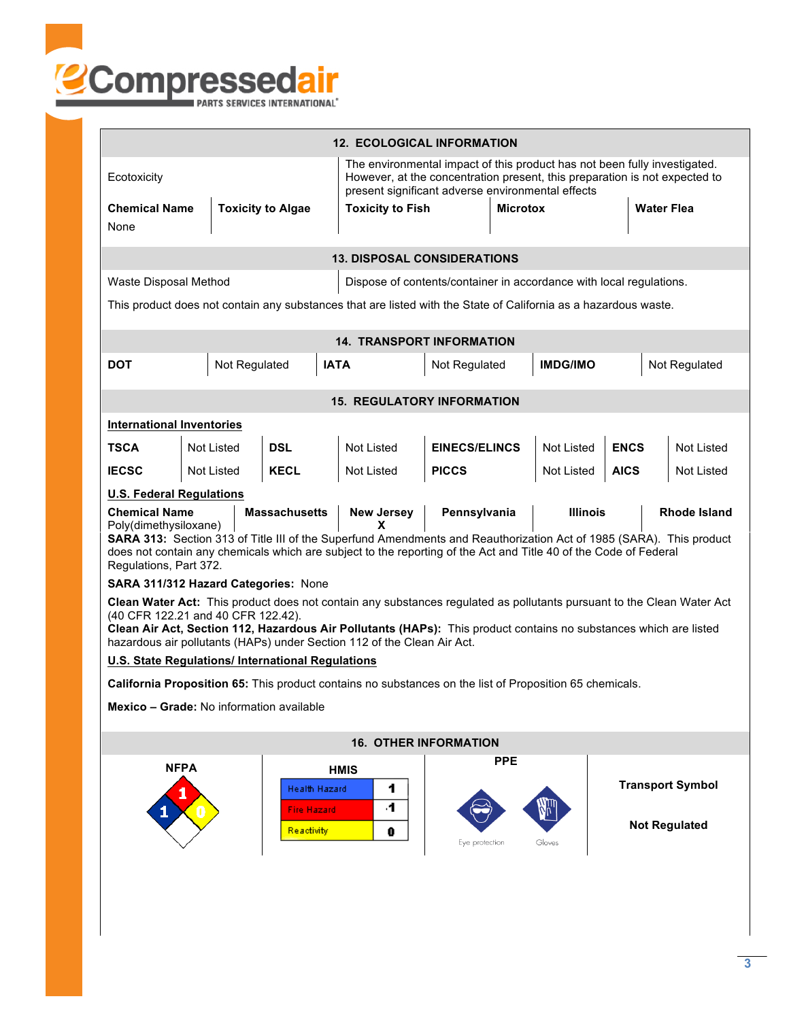

| <b>12. ECOLOGICAL INFORMATION</b>                                                                                                                                                                                                                                                                                                                                                                                              |                                  |                              |                         |                                                                                                                                                                                                              |                                  |                                    |                 |                   |                         |                      |  |
|--------------------------------------------------------------------------------------------------------------------------------------------------------------------------------------------------------------------------------------------------------------------------------------------------------------------------------------------------------------------------------------------------------------------------------|----------------------------------|------------------------------|-------------------------|--------------------------------------------------------------------------------------------------------------------------------------------------------------------------------------------------------------|----------------------------------|------------------------------------|-----------------|-------------------|-------------------------|----------------------|--|
| Ecotoxicity                                                                                                                                                                                                                                                                                                                                                                                                                    |                                  |                              |                         | The environmental impact of this product has not been fully investigated.<br>However, at the concentration present, this preparation is not expected to<br>present significant adverse environmental effects |                                  |                                    |                 |                   |                         |                      |  |
| <b>Chemical Name</b><br><b>Toxicity to Algae</b><br>None                                                                                                                                                                                                                                                                                                                                                                       |                                  |                              | <b>Toxicity to Fish</b> |                                                                                                                                                                                                              | <b>Microtox</b>                  |                                    |                 | <b>Water Flea</b> |                         |                      |  |
| <b>13. DISPOSAL CONSIDERATIONS</b>                                                                                                                                                                                                                                                                                                                                                                                             |                                  |                              |                         |                                                                                                                                                                                                              |                                  |                                    |                 |                   |                         |                      |  |
| Waste Disposal Method<br>Dispose of contents/container in accordance with local regulations.                                                                                                                                                                                                                                                                                                                                   |                                  |                              |                         |                                                                                                                                                                                                              |                                  |                                    |                 |                   |                         |                      |  |
| This product does not contain any substances that are listed with the State of California as a hazardous waste.                                                                                                                                                                                                                                                                                                                |                                  |                              |                         |                                                                                                                                                                                                              |                                  |                                    |                 |                   |                         |                      |  |
|                                                                                                                                                                                                                                                                                                                                                                                                                                |                                  |                              |                         |                                                                                                                                                                                                              | <b>14. TRANSPORT INFORMATION</b> |                                    |                 |                   |                         |                      |  |
| <b>DOT</b>                                                                                                                                                                                                                                                                                                                                                                                                                     |                                  | Not Regulated<br><b>IATA</b> |                         |                                                                                                                                                                                                              | Not Regulated                    |                                    | <b>IMDG/IMO</b> |                   |                         | Not Regulated        |  |
| <b>15. REGULATORY INFORMATION</b>                                                                                                                                                                                                                                                                                                                                                                                              |                                  |                              |                         |                                                                                                                                                                                                              |                                  |                                    |                 |                   |                         |                      |  |
|                                                                                                                                                                                                                                                                                                                                                                                                                                | <b>International Inventories</b> |                              |                         |                                                                                                                                                                                                              |                                  |                                    |                 |                   |                         |                      |  |
| <b>TSCA</b>                                                                                                                                                                                                                                                                                                                                                                                                                    | Not Listed                       | <b>DSL</b>                   |                         | Not Listed                                                                                                                                                                                                   |                                  | <b>EINECS/ELINCS</b><br>Not Listed |                 | <b>ENCS</b>       |                         | <b>Not Listed</b>    |  |
| <b>IECSC</b>                                                                                                                                                                                                                                                                                                                                                                                                                   | Not Listed                       | <b>KECL</b>                  |                         | Not Listed                                                                                                                                                                                                   | <b>PICCS</b>                     |                                    | Not Listed      | <b>AICS</b>       |                         | Not Listed           |  |
| <b>U.S. Federal Regulations</b>                                                                                                                                                                                                                                                                                                                                                                                                |                                  |                              |                         |                                                                                                                                                                                                              |                                  |                                    |                 |                   |                         |                      |  |
| <b>Chemical Name</b><br><b>Massachusetts</b><br><b>New Jersey</b><br>Pennsylvania<br><b>Illinois</b><br><b>Rhode Island</b><br>Poly(dimethysiloxane)<br>x<br>SARA 313: Section 313 of Title III of the Superfund Amendments and Reauthorization Act of 1985 (SARA). This product<br>does not contain any chemicals which are subject to the reporting of the Act and Title 40 of the Code of Federal<br>Regulations, Part 372. |                                  |                              |                         |                                                                                                                                                                                                              |                                  |                                    |                 |                   |                         |                      |  |
| SARA 311/312 Hazard Categories: None                                                                                                                                                                                                                                                                                                                                                                                           |                                  |                              |                         |                                                                                                                                                                                                              |                                  |                                    |                 |                   |                         |                      |  |
| Clean Water Act: This product does not contain any substances regulated as pollutants pursuant to the Clean Water Act<br>(40 CFR 122.21 and 40 CFR 122.42).<br>Clean Air Act, Section 112, Hazardous Air Pollutants (HAPs): This product contains no substances which are listed<br>hazardous air pollutants (HAPs) under Section 112 of the Clean Air Act.                                                                    |                                  |                              |                         |                                                                                                                                                                                                              |                                  |                                    |                 |                   |                         |                      |  |
| <b>U.S. State Regulations/ International Regulations</b>                                                                                                                                                                                                                                                                                                                                                                       |                                  |                              |                         |                                                                                                                                                                                                              |                                  |                                    |                 |                   |                         |                      |  |
| California Proposition 65: This product contains no substances on the list of Proposition 65 chemicals.                                                                                                                                                                                                                                                                                                                        |                                  |                              |                         |                                                                                                                                                                                                              |                                  |                                    |                 |                   |                         |                      |  |
| Mexico - Grade: No information available                                                                                                                                                                                                                                                                                                                                                                                       |                                  |                              |                         |                                                                                                                                                                                                              |                                  |                                    |                 |                   |                         |                      |  |
| <b>16. OTHER INFORMATION</b>                                                                                                                                                                                                                                                                                                                                                                                                   |                                  |                              |                         |                                                                                                                                                                                                              |                                  |                                    |                 |                   |                         |                      |  |
| <b>NFPA</b><br>Health Hazard<br><b>Fire Hazard</b>                                                                                                                                                                                                                                                                                                                                                                             |                                  |                              | <b>HMIS</b>             | 1<br>4                                                                                                                                                                                                       |                                  | <b>PPE</b>                         |                 |                   | <b>Transport Symbol</b> |                      |  |
|                                                                                                                                                                                                                                                                                                                                                                                                                                |                                  | <b>Reactivity</b>            |                         | 0                                                                                                                                                                                                            | Eye protection                   |                                    | Gloves          |                   |                         | <b>Not Regulated</b> |  |
|                                                                                                                                                                                                                                                                                                                                                                                                                                |                                  |                              |                         |                                                                                                                                                                                                              |                                  |                                    |                 |                   |                         |                      |  |